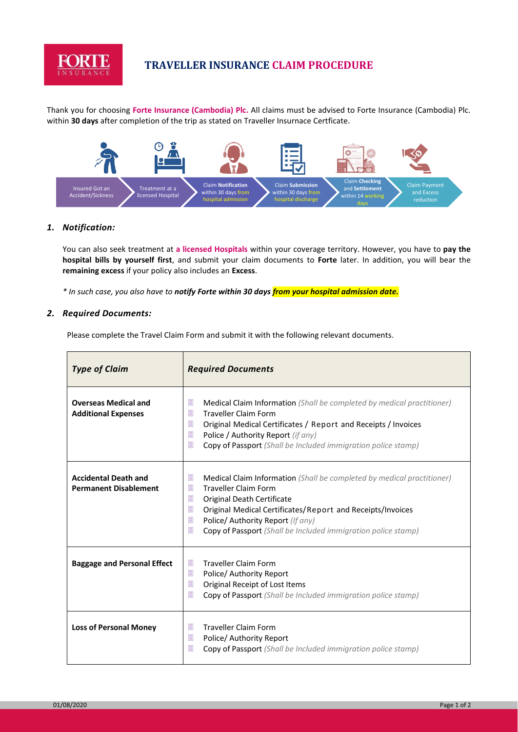

# **TRAVELLER INSURANCE CLAIM PROCEDURE**

Thank you for choosing **Forte Insurance (Cambodia) Plc.** All claims must be advised to Forte Insurance (Cambodia) Plc. within **30 days** after completion of the trip as stated on Traveller Insurnace Certficate.



# *1. Notification:*

You can also seek treatment at **a licensed Hospitals** within your coverage territory. However, you have to **pay the hospital bills by yourself first**, and submit your claim documents to **Forte** later. In addition, you will bear the **remaining excess** if your policy also includes an **Excess**.

*\* In such case, you also have to notify Forte within 30 days from your hospital admission date.*

#### *2. Required Documents:*

Please complete the Travel Claim Form and submit it with the following relevant documents.

| <b>Type of Claim</b>                                        | <b>Required Documents</b>                                                                                                                                                                                                                                                                                                                    |  |
|-------------------------------------------------------------|----------------------------------------------------------------------------------------------------------------------------------------------------------------------------------------------------------------------------------------------------------------------------------------------------------------------------------------------|--|
| <b>Overseas Medical and</b><br><b>Additional Expenses</b>   | 圓<br>Medical Claim Information (Shall be completed by medical practitioner)<br><b>Traveller Claim Form</b><br>圁<br>圓<br>Original Medical Certificates / Report and Receipts / Invoices<br>圁<br>Police / Authority Report (if any)<br>目<br>Copy of Passport (Shall be Included immigration police stamp)                                      |  |
| <b>Accidental Death and</b><br><b>Permanent Disablement</b> | 圓<br><b>Medical Claim Information</b> (Shall be completed by medical practitioner)<br>圁<br><b>Traveller Claim Form</b><br>圁<br>Original Death Certificate<br>圁<br>Original Medical Certificates/Report and Receipts/Invoices<br>圁<br>Police/ Authority Report (If any)<br>目<br>Copy of Passport (Shall be Included immigration police stamp) |  |
| <b>Baggage and Personal Effect</b>                          | <b>Traveller Claim Form</b><br>圓<br>圓<br>Police/ Authority Report<br>圁<br>Original Receipt of Lost Items<br>圓<br><b>Copy of Passport</b> (Shall be Included immigration police stamp)                                                                                                                                                        |  |
| <b>Loss of Personal Money</b>                               | <b>Traveller Claim Form</b><br>圓<br>圁<br>Police/ Authority Report<br>目<br><b>Copy of Passport</b> (Shall be Included immigration police stamp)                                                                                                                                                                                               |  |